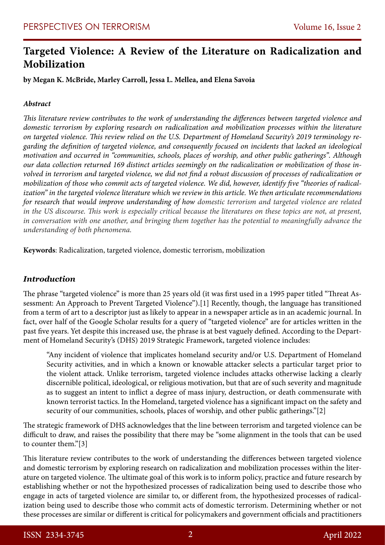# **Targeted Violence: A Review of the Literature on Radicalization and Mobilization**

**by Megan K. McBride, Marley Carroll, Jessa L. Mellea, and Elena Savoia**

#### *Abstract*

*This literature review contributes to the work of understanding the differences between targeted violence and domestic terrorism by exploring research on radicalization and mobilization processes within the literature on targeted violence. This review relied on the U.S. Department of Homeland Security's 2019 terminology regarding the definition of targeted violence, and consequently focused on incidents that lacked an ideological motivation and occurred in "communities, schools, places of worship, and other public gatherings". Although our data collection returned 169 distinct articles seemingly on the radicalization or mobilization of those involved in terrorism and targeted violence, we did not find a robust discussion of processes of radicalization or mobilization of those who commit acts of targeted violence. We did, however, identify five "theories of radicalization" in the targeted violence literature which we review in this article. We then articulate recommendations for research that would improve understanding of how domestic terrorism and targeted violence are related in the US discourse. This work is especially critical because the literatures on these topics are not, at present, in conversation with one another, and bringing them together has the potential to meaningfully advance the understanding of both phenomena.* 

**Keywords**: Radicalization, targeted violence, domestic terrorism, mobilization

# *Introduction*

The phrase "targeted violence" is more than 25 years old (it was first used in a 1995 paper titled "Threat Assessment: An Approach to Prevent Targeted Violence").[1] Recently, though, the language has transitioned from a term of art to a descriptor just as likely to appear in a newspaper article as in an academic journal. In fact, over half of the Google Scholar results for a query of "targeted violence" are for articles written in the past five years. Yet despite this increased use, the phrase is at best vaguely defined. According to the Department of Homeland Security's (DHS) 2019 Strategic Framework, targeted violence includes:

"Any incident of violence that implicates homeland security and/or U.S. Department of Homeland Security activities, and in which a known or knowable attacker selects a particular target prior to the violent attack. Unlike terrorism, targeted violence includes attacks otherwise lacking a clearly discernible political, ideological, or religious motivation, but that are of such severity and magnitude as to suggest an intent to inflict a degree of mass injury, destruction, or death commensurate with known terrorist tactics. In the Homeland, targeted violence has a significant impact on the safety and security of our communities, schools, places of worship, and other public gatherings."[2]

The strategic framework of DHS acknowledges that the line between terrorism and targeted violence can be difficult to draw, and raises the possibility that there may be "some alignment in the tools that can be used to counter them."[3]

This literature review contributes to the work of understanding the differences between targeted violence and domestic terrorism by exploring research on radicalization and mobilization processes within the literature on targeted violence. The ultimate goal of this work is to inform policy, practice and future research by establishing whether or not the hypothesized processes of radicalization being used to describe those who engage in acts of targeted violence are similar to, or different from, the hypothesized processes of radicalization being used to describe those who commit acts of domestic terrorism. Determining whether or not these processes are similar or different is critical for policymakers and government officials and practitioners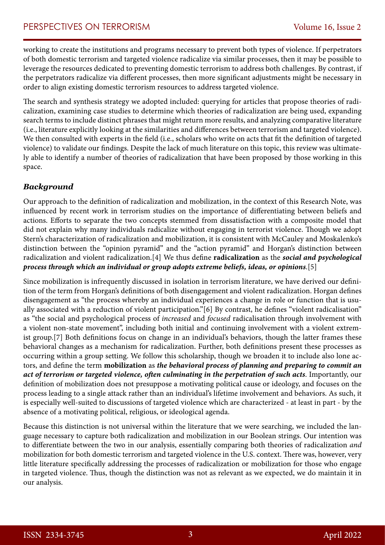working to create the institutions and programs necessary to prevent both types of violence. If perpetrators of both domestic terrorism and targeted violence radicalize via similar processes, then it may be possible to leverage the resources dedicated to preventing domestic terrorism to address both challenges. By contrast, if the perpetrators radicalize via different processes, then more significant adjustments might be necessary in order to align existing domestic terrorism resources to address targeted violence.

The search and synthesis strategy we adopted included: querying for articles that propose theories of radicalization, examining case studies to determine which theories of radicalization are being used, expanding search terms to include distinct phrases that might return more results, and analyzing comparative literature (i.e., literature explicitly looking at the similarities and differences between terrorism and targeted violence). We then consulted with experts in the field (i.e., scholars who write on acts that fit the definition of targeted violence) to validate our findings. Despite the lack of much literature on this topic, this review was ultimately able to identify a number of theories of radicalization that have been proposed by those working in this space.

# *Background*

Our approach to the definition of radicalization and mobilization, in the context of this Research Note, was influenced by recent work in terrorism studies on the importance of differentiating between beliefs and actions. Efforts to separate the two concepts stemmed from dissatisfaction with a composite model that did not explain why many individuals radicalize without engaging in terrorist violence. Though we adopt Stern's characterization of radicalization and mobilization, it is consistent with McCauley and Moskalenko's distinction between the "opinion pyramid" and the "action pyramid" and Horgan's distinction between radicalization and violent radicalization.[4] We thus define **radicalization** as the *social and psychological process through which an individual or group adopts extreme beliefs, ideas, or opinions*.[5]

Since mobilization is infrequently discussed in isolation in terrorism literature, we have derived our definition of the term from Horgan's definitions of both disengagement and violent radicalization. Horgan defines disengagement as "the process whereby an individual experiences a change in role or function that is usually associated with a reduction of violent participation."[6] By contrast, he defines "violent radicalisation" as "the social and psychological process of *increased* and *focused* radicalisation through involvement with a violent non-state movement", including both initial and continuing involvement with a violent extremist group.[7] Both definitions focus on change in an individual's behaviors, though the latter frames these behavioral changes as a mechanism for radicalization. Further, both definitions present these processes as occurring within a group setting. We follow this scholarship, though we broaden it to include also lone actors, and define the term **mobilization** as *the behavioral process of planning and preparing to commit an act of terrorism or targeted violence, often culminating in the perpetration of such acts*. Importantly, our definition of mobilization does not presuppose a motivating political cause or ideology, and focuses on the process leading to a single attack rather than an individual's lifetime involvement and behaviors. As such, it is especially well-suited to discussions of targeted violence which are characterized - at least in part - by the absence of a motivating political, religious, or ideological agenda.

Because this distinction is not universal within the literature that we were searching, we included the language necessary to capture both radicalization and mobilization in our Boolean strings. Our intention was to differentiate between the two in our analysis, essentially comparing both theories of radicalization *and*  mobilization for both domestic terrorism and targeted violence in the U.S. context. There was, however, very little literature specifically addressing the processes of radicalization or mobilization for those who engage in targeted violence. Thus, though the distinction was not as relevant as we expected, we do maintain it in our analysis.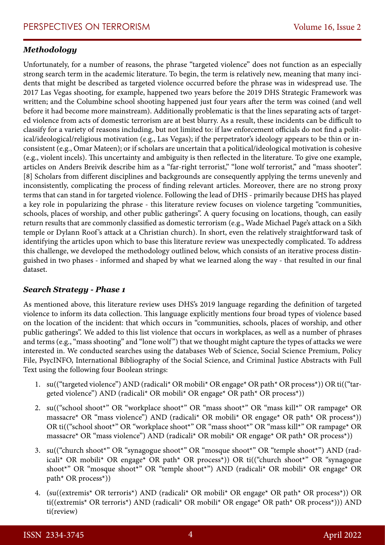# *Methodology*

Unfortunately, for a number of reasons, the phrase "targeted violence" does not function as an especially strong search term in the academic literature. To begin, the term is relatively new, meaning that many incidents that might be described as targeted violence occurred before the phrase was in widespread use. The 2017 Las Vegas shooting, for example, happened two years before the 2019 DHS Strategic Framework was written; and the Columbine school shooting happened just four years after the term was coined (and well before it had become more mainstream). Additionally problematic is that the lines separating acts of targeted violence from acts of domestic terrorism are at best blurry. As a result, these incidents can be difficult to classify for a variety of reasons including, but not limited to: if law enforcement officials do not find a political/ideological/religious motivation (e.g., Las Vegas); if the perpetrator's ideology appears to be thin or inconsistent (e.g., Omar Mateen); or if scholars are uncertain that a political/ideological motivation is cohesive (e.g., violent incels). This uncertainty and ambiguity is then reflected in the literature. To give one example, articles on Anders Breivik describe him as a "far-right terrorist," "lone wolf terrorist," and "mass shooter". [8] Scholars from different disciplines and backgrounds are consequently applying the terms unevenly and inconsistently, complicating the process of finding relevant articles. Moreover, there are no strong proxy terms that can stand in for targeted violence. Following the lead of DHS - primarily because DHS has played a key role in popularizing the phrase - this literature review focuses on violence targeting "communities, schools, places of worship, and other public gatherings". A query focusing on locations, though, can easily return results that are commonly classified as domestic terrorism (e.g., Wade Michael Page's attack on a Sikh temple or Dylann Roof 's attack at a Christian church). In short, even the relatively straightforward task of identifying the articles upon which to base this literature review was unexpectedly complicated. To address this challenge, we developed the methodology outlined below, which consists of an iterative process distinguished in two phases - informed and shaped by what we learned along the way - that resulted in our final dataset.

## *Search Strategy - Phase 1*

As mentioned above, this literature review uses DHS's 2019 language regarding the definition of targeted violence to inform its data collection. This language explicitly mentions four broad types of violence based on the location of the incident: that which occurs in "communities, schools, places of worship, and other public gatherings". We added to this list violence that occurs in workplaces, as well as a number of phrases and terms (e.g., "mass shooting" and "lone wolf ") that we thought might capture the types of attacks we were interested in. We conducted searches using the databases Web of Science, Social Science Premium, Policy File, PsycINFO, International Bibliography of the Social Science, and Criminal Justice Abstracts with Full Text using the following four Boolean strings:

- 1. su(("targeted violence") AND (radicali\* OR mobili\* OR engage\* OR path\* OR process\*)) OR ti(("targeted violence") AND (radicali\* OR mobili\* OR engage\* OR path\* OR process\*))
- 2. su(("school shoot\*" OR "workplace shoot\*" OR "mass shoot\*" OR "mass kill\*" OR rampage\* OR massacre\* OR "mass violence") AND (radicali\* OR mobili\* OR engage\* OR path\* OR process\*)) OR ti(("school shoot\*" OR "workplace shoot\*" OR "mass shoot\*" OR "mass kill\*" OR rampage\* OR massacre\* OR "mass violence") AND (radicali\* OR mobili\* OR engage\* OR path\* OR process\*))
- 3. su(("church shoot\*" OR "synagogue shoot\*" OR "mosque shoot\*" OR "temple shoot\*") AND (radicali\* OR mobili\* OR engage\* OR path\* OR process\*)) OR ti(("church shoot\*" OR "synagogue shoot\*" OR "mosque shoot\*" OR "temple shoot\*") AND (radicali\* OR mobili\* OR engage\* OR path\* OR process\*))
- 4. (su((extremis\* OR terroris\*) AND (radicali\* OR mobili\* OR engage\* OR path\* OR process\*)) OR ti((extremis\* OR terroris\*) AND (radicali\* OR mobili\* OR engage\* OR path\* OR process\*))) AND ti(review)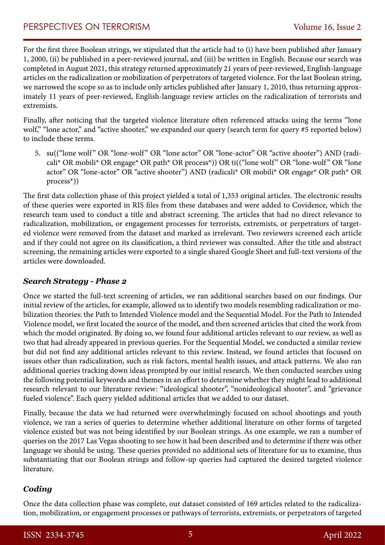For the first three Boolean strings, we stipulated that the article had to (i) have been published after January 1, 2000, (ii) be published in a peer-reviewed journal, and (iii) be written in English. Because our search was completed in August 2021, this strategy returned approximately 21 years of peer-reviewed, English-language articles on the radicalization or mobilization of perpetrators of targeted violence. For the last Boolean string, we narrowed the scope so as to include only articles published after January 1, 2010, thus returning approximately 11 years of peer-reviewed, English-language review articles on the radicalization of terrorists and extremists.

Finally, after noticing that the targeted violence literature often referenced attacks using the terms "lone wolf," "lone actor," and "active shooter," we expanded our query (search term for query #5 reported below) to include these terms.

5. su(("lone wolf" OR "lone-wolf" OR "lone actor" OR "lone-actor" OR "active shooter") AND (radicali\* OR mobili\* OR engage\* OR path\* OR process\*)) OR ti(("lone wolf " OR "lone-wolf " OR "lone actor" OR "lone-actor" OR "active shooter") AND (radicali\* OR mobili\* OR engage\* OR path\* OR process\*))

The first data collection phase of this project yielded a total of 1,353 original articles. The electronic results of these queries were exported in RIS files from these databases and were added to Covidence, which the research team used to conduct a title and abstract screening. The articles that had no direct relevance to radicalization, mobilization, or engagement processes for terrorists, extremists, or perpetrators of targeted violence were removed from the dataset and marked as irrelevant. Two reviewers screened each article and if they could not agree on its classification, a third reviewer was consulted. After the title and abstract screening, the remaining articles were exported to a single shared Google Sheet and full-text versions of the articles were downloaded.

## *Search Strategy - Phase 2*

Once we started the full-text screening of articles, we ran additional searches based on our findings. Our initial review of the articles, for example, allowed us to identify two models resembling radicalization or mobilization theories: the Path to Intended Violence model and the Sequential Model. For the Path to Intended Violence model, we first located the source of the model, and then screened articles that cited the work from which the model originated. By doing so, we found four additional articles relevant to our review, as well as two that had already appeared in previous queries. For the Sequential Model, we conducted a similar review but did not find any additional articles relevant to this review. Instead, we found articles that focused on issues other than radicalization, such as risk factors, mental health issues, and attack patterns. We also ran additional queries tracking down ideas prompted by our initial research. We then conducted searches using the following potential keywords and themes in an effort to determine whether they might lead to additional research relevant to our literature review: "ideological shooter", "nonideological shooter", and "grievance fueled violence". Each query yielded additional articles that we added to our dataset.

Finally, because the data we had returned were overwhelmingly focused on school shootings and youth violence, we ran a series of queries to determine whether additional literature on other forms of targeted violence existed but was not being identified by our Boolean strings. As one example, we ran a number of queries on the 2017 Las Vegas shooting to see how it had been described and to determine if there was other language we should be using. These queries provided no additional sets of literature for us to examine, thus substantiating that our Boolean strings and follow-up queries had captured the desired targeted violence literature.

# *Coding*

Once the data collection phase was complete, our dataset consisted of 169 articles related to the radicalization, mobilization, or engagement processes or pathways of terrorists, extremists, or perpetrators of targeted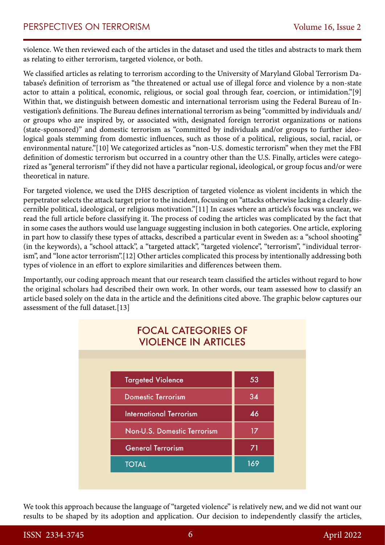violence. We then reviewed each of the articles in the dataset and used the titles and abstracts to mark them as relating to either terrorism, targeted violence, or both.

We classified articles as relating to terrorism according to the University of Maryland Global Terrorism Database's definition of terrorism as "the threatened or actual use of illegal force and violence by a non-state actor to attain a political, economic, religious, or social goal through fear, coercion, or intimidation."[9] Within that, we distinguish between domestic and international terrorism using the Federal Bureau of Investigation's definitions. The Bureau defines international terrorism as being "committed by individuals and/ or groups who are inspired by, or associated with, designated foreign terrorist organizations or nations (state-sponsored)" and domestic terrorism as "committed by individuals and/or groups to further ideological goals stemming from domestic influences, such as those of a political, religious, social, racial, or environmental nature."[10] We categorized articles as "non-U.S. domestic terrorism" when they met the FBI definition of domestic terrorism but occurred in a country other than the U.S. Finally, articles were categorized as "general terrorism" if they did not have a particular regional, ideological, or group focus and/or were theoretical in nature.

For targeted violence, we used the DHS description of targeted violence as violent incidents in which the perpetrator selects the attack target prior to the incident, focusing on "attacks otherwise lacking a clearly discernible political, ideological, or religious motivation."[11] In cases where an article's focus was unclear, we read the full article before classifying it. The process of coding the articles was complicated by the fact that in some cases the authors would use language suggesting inclusion in both categories. One article, exploring in part how to classify these types of attacks, described a particular event in Sweden as: a "school shooting" (in the keywords), a "school attack", a "targeted attack", "targeted violence", "terrorism", "individual terrorism", and "lone actor terrorism".[12] Other articles complicated this process by intentionally addressing both types of violence in an effort to explore similarities and differences between them.

Importantly, our coding approach meant that our research team classified the articles without regard to how the original scholars had described their own work. In other words, our team assessed how to classify an article based solely on the data in the article and the definitions cited above. The graphic below captures our assessment of the full dataset.[13]

| <b>FOCAL CATEGORIES OF</b><br><b>VIOLENCE IN ARTICLES</b> |                                |                 |
|-----------------------------------------------------------|--------------------------------|-----------------|
|                                                           |                                |                 |
|                                                           | <b>Targeted Violence</b>       | 53              |
|                                                           | <b>Domestic Terrorism</b>      | 34              |
|                                                           | <b>International Terrorism</b> | 46              |
|                                                           | Non-U.S. Domestic Terrorism    | 17 <sup>2</sup> |
|                                                           | <b>General Terrorism</b>       | 71              |
|                                                           | <b>TOTAL</b>                   | 169             |
|                                                           |                                |                 |

We took this approach because the language of "targeted violence" is relatively new, and we did not want our results to be shaped by its adoption and application. Our decision to independently classify the articles,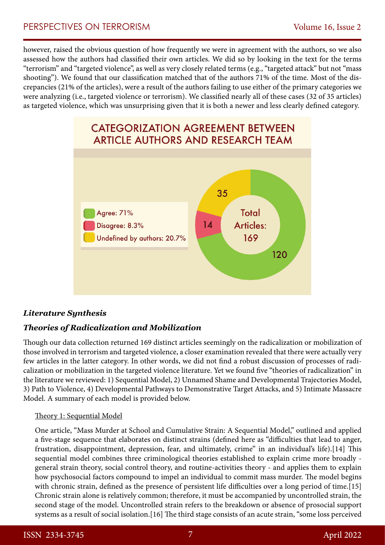however, raised the obvious question of how frequently we were in agreement with the authors, so we also assessed how the authors had classified their own articles. We did so by looking in the text for the terms "terrorism" and "targeted violence", as well as very closely related terms (e.g., "targeted attack" but not "mass shooting"). We found that our classification matched that of the authors 71% of the time. Most of the discrepancies (21% of the articles), were a result of the authors failing to use either of the primary categories we were analyzing (i.e., targeted violence or terrorism). We classified nearly all of these cases (32 of 35 articles) as targeted violence, which was unsurprising given that it is both a newer and less clearly defined category.



# *Literature Synthesis*

# *Theories of Radicalization and Mobilization*

Though our data collection returned 169 distinct articles seemingly on the radicalization or mobilization of those involved in terrorism and targeted violence, a closer examination revealed that there were actually very few articles in the latter category. In other words, we did not find a robust discussion of processes of radicalization or mobilization in the targeted violence literature. Yet we found five "theories of radicalization" in the literature we reviewed: 1) Sequential Model, 2) Unnamed Shame and Developmental Trajectories Model, 3) Path to Violence, 4) Developmental Pathways to Demonstrative Target Attacks, and 5) Intimate Massacre Model. A summary of each model is provided below.

## Theory 1: Sequential Model

One article, "Mass Murder at School and Cumulative Strain: A Sequential Model," outlined and applied a five-stage sequence that elaborates on distinct strains (defined here as "difficulties that lead to anger, frustration, disappointment, depression, fear, and ultimately, crime" in an individual's life).[14] This sequential model combines three criminological theories established to explain crime more broadly general strain theory, social control theory, and routine-activities theory - and applies them to explain how psychosocial factors compound to impel an individual to commit mass murder. The model begins with chronic strain, defined as the presence of persistent life difficulties over a long period of time.[15] Chronic strain alone is relatively common; therefore, it must be accompanied by uncontrolled strain, the second stage of the model. Uncontrolled strain refers to the breakdown or absence of prosocial support systems as a result of social isolation.[16] The third stage consists of an acute strain, "some loss perceived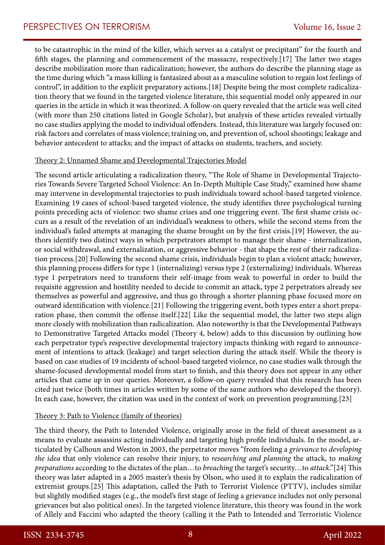to be catastrophic in the mind of the killer, which serves as a catalyst or precipitant" for the fourth and fifth stages, the planning and commencement of the massacre, respectively.[17] The latter two stages describe mobilization more than radicalization; however, the authors do describe the planning stage as the time during which "a mass killing is fantasized about as a masculine solution to regain lost feelings of control", in addition to the explicit preparatory actions.[18] Despite being the most complete radicalization theory that we found in the targeted violence literature, this sequential model only appeared in our queries in the article in which it was theorized. A follow-on query revealed that the article was well cited (with more than 250 citations listed in Google Scholar), but analysis of these articles revealed virtually no case studies applying the model to individual offenders. Instead, this literature was largely focused on: risk factors and correlates of mass violence; training on, and prevention of, school shootings; leakage and behavior antecedent to attacks; and the impact of attacks on students, teachers, and society.

#### Theory 2: Unnamed Shame and Developmental Trajectories Model

The second article articulating a radicalization theory, "The Role of Shame in Developmental Trajectories Towards Severe Targeted School Violence: An In-Depth Multiple Case Study," examined how shame may intervene in developmental trajectories to push individuals toward school-based targeted violence. Examining 19 cases of school-based targeted violence, the study identifies three psychological turning points preceding acts of violence: two shame crises and one triggering event. The first shame crisis occurs as a result of the revelation of an individual's weakness to others, while the second stems from the individual's failed attempts at managing the shame brought on by the first crisis.[19] However, the authors identify two distinct ways in which perpetrators attempt to manage their shame - internalization, or social withdrawal, and externalization, or aggressive behavior - that shape the rest of their radicalization process.[20] Following the second shame crisis, individuals begin to plan a violent attack; however, this planning process differs for type 1 (internalizing) versus type 2 (externalizing) individuals. Whereas type 1 perpetrators need to transform their self-image from weak to powerful in order to build the requisite aggression and hostility needed to decide to commit an attack, type 2 perpetrators already see themselves as powerful and aggressive, and thus go through a shorter planning phase focused more on outward identification with violence.[21] Following the triggering event, both types enter a short preparation phase, then commit the offense itself.[22] Like the sequential model, the latter two steps align more closely with mobilization than radicalization. Also noteworthy is that the Developmental Pathways to Demonstrative Targeted Attacks model (Theory 4, below) adds to this discussion by outlining how each perpetrator type's respective developmental trajectory impacts thinking with regard to announcement of intentions to attack (leakage) and target selection during the attack itself. While the theory is based on case studies of 19 incidents of school-based targeted violence, no case studies walk through the shame-focused developmental model from start to finish, and this theory does not appear in any other articles that came up in our queries. Moreover, a follow-on query revealed that this research has been cited just twice (both times in articles written by some of the same authors who developed the theory). In each case, however, the citation was used in the context of work on prevention programming.[23]

#### Theory 3: Path to Violence (family of theories)

The third theory, the Path to Intended Violence, originally arose in the field of threat assessment as a means to evaluate assassins acting individually and targeting high profile individuals. In the model, articulated by Calhoun and Weston in 2003, the perpetrator moves "from feeling a *grievance* to *developing the idea* that only violence can resolve their injury, to *researching and planning* the attack, to *making preparations* according to the dictates of the plan…to *breaching* the target's security…to *attack*."[24] This theory was later adapted in a 2005 master's thesis by Olson, who used it to explain the radicalization of extremist groups.[25] This adaptation, called the Path to Terrorist Violence (PTTV), includes similar but slightly modified stages (e.g., the model's first stage of feeling a grievance includes not only personal grievances but also political ones). In the targeted violence literature, this theory was found in the work of Allely and Faccini who adapted the theory (calling it the Path to Intended and Terroristic Violence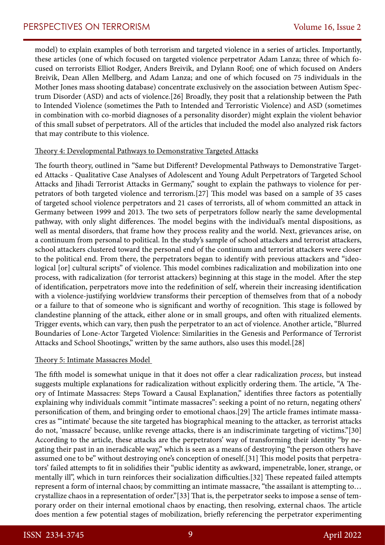model) to explain examples of both terrorism and targeted violence in a series of articles. Importantly, these articles (one of which focused on targeted violence perpetrator Adam Lanza; three of which focused on terrorists Elliot Rodger, Anders Breivik, and Dylann Roof; one of which focused on Anders Breivik, Dean Allen Mellberg, and Adam Lanza; and one of which focused on 75 individuals in the Mother Jones mass shooting database) concentrate exclusively on the association between Autism Spectrum Disorder (ASD) and acts of violence.[26] Broadly, they posit that a relationship between the Path to Intended Violence (sometimes the Path to Intended and Terroristic Violence) and ASD (sometimes in combination with co-morbid diagnoses of a personality disorder) might explain the violent behavior of this small subset of perpetrators. All of the articles that included the model also analyzed risk factors that may contribute to this violence.

#### Theory 4: Developmental Pathways to Demonstrative Targeted Attacks

The fourth theory, outlined in "Same but Different? Developmental Pathways to Demonstrative Targeted Attacks - Qualitative Case Analyses of Adolescent and Young Adult Perpetrators of Targeted School Attacks and Jihadi Terrorist Attacks in Germany," sought to explain the pathways to violence for perpetrators of both targeted violence and terrorism.[27] This model was based on a sample of 35 cases of targeted school violence perpetrators and 21 cases of terrorists, all of whom committed an attack in Germany between 1999 and 2013. The two sets of perpetrators follow nearly the same developmental pathway, with only slight differences. The model begins with the individual's mental dispositions, as well as mental disorders, that frame how they process reality and the world. Next, grievances arise, on a continuum from personal to political. In the study's sample of school attackers and terrorist attackers, school attackers clustered toward the personal end of the continuum and terrorist attackers were closer to the political end. From there, the perpetrators began to identify with previous attackers and "ideological [or] cultural scripts" of violence. This model combines radicalization and mobilization into one process, with radicalization (for terrorist attackers) beginning at this stage in the model. After the step of identification, perpetrators move into the redefinition of self, wherein their increasing identification with a violence-justifying worldview transforms their perception of themselves from that of a nobody or a failure to that of someone who is significant and worthy of recognition. This stage is followed by clandestine planning of the attack, either alone or in small groups, and often with ritualized elements. Trigger events, which can vary, then push the perpetrator to an act of violence. Another article, "Blurred Boundaries of Lone-Actor Targeted Violence: Similarities in the Genesis and Performance of Terrorist Attacks and School Shootings," written by the same authors, also uses this model.[28]

#### Theory 5: Intimate Massacres Model

The fifth model is somewhat unique in that it does not offer a clear radicalization *process*, but instead suggests multiple explanations for radicalization without explicitly ordering them. The article, "A Theory of Intimate Massacres: Steps Toward a Causal Explanation," identifies three factors as potentially explaining why individuals commit "intimate massacres": seeking a point of no return, negating others' personification of them, and bringing order to emotional chaos.[29] The article frames intimate massacres as "'intimate' because the site targeted has biographical meaning to the attacker, as terrorist attacks do not, 'massacre' because, unlike revenge attacks, there is an indiscriminate targeting of victims."[30] According to the article, these attacks are the perpetrators' way of transforming their identity "by negating their past in an ineradicable way," which is seen as a means of destroying "the person others have assumed one to be" without destroying one's conception of oneself.[31] This model posits that perpetrators' failed attempts to fit in solidifies their "public identity as awkward, impenetrable, loner, strange, or mentally ill", which in turn reinforces their socialization difficulties.[32] These repeated failed attempts represent a form of internal chaos; by committing an intimate massacre, "the assailant is attempting to… crystallize chaos in a representation of order."[33] That is, the perpetrator seeks to impose a sense of temporary order on their internal emotional chaos by enacting, then resolving, external chaos. The article does mention a few potential stages of mobilization, briefly referencing the perpetrator experimenting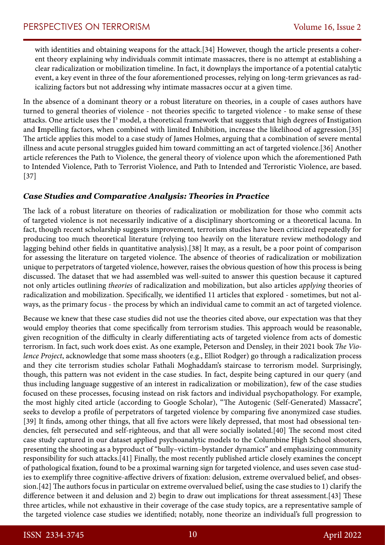with identities and obtaining weapons for the attack.[34] However, though the article presents a coherent theory explaining why individuals commit intimate massacres, there is no attempt at establishing a clear radicalization or mobilization timeline. In fact, it downplays the importance of a potential catalytic event, a key event in three of the four aforementioned processes, relying on long-term grievances as radicalizing factors but not addressing why intimate massacres occur at a given time.

In the absence of a dominant theory or a robust literature on theories, in a couple of cases authors have turned to general theories of violence - not theories specific to targeted violence - to make sense of these attacks. One article uses the I<sup>3</sup> model, a theoretical framework that suggests that high degrees of Instigation and **I**mpelling factors, when combined with limited **I**nhibition, increase the likelihood of aggression.[35] The article applies this model to a case study of James Holmes, arguing that a combination of severe mental illness and acute personal struggles guided him toward committing an act of targeted violence.[36] Another article references the Path to Violence, the general theory of violence upon which the aforementioned Path to Intended Violence, Path to Terrorist Violence, and Path to Intended and Terroristic Violence, are based. [37]

## *Case Studies and Comparative Analysis: Theories in Practice*

The lack of a robust literature on theories of radicalization or mobilization for those who commit acts of targeted violence is not necessarily indicative of a disciplinary shortcoming or a theoretical lacuna. In fact, though recent scholarship suggests improvement, terrorism studies have been criticized repeatedly for producing too much theoretical literature (relying too heavily on the literature review methodology and lagging behind other fields in quantitative analysis).[38] It may, as a result, be a poor point of comparison for assessing the literature on targeted violence. The absence of theories of radicalization or mobilization unique to perpetrators of targeted violence, however, raises the obvious question of how this process is being discussed. The dataset that we had assembled was well-suited to answer this question because it captured not only articles outlining *theories* of radicalization and mobilization, but also articles *applying* theories of radicalization and mobilization. Specifically, we identified 11 articles that explored - sometimes, but not always, as the primary focus - the process by which an individual came to commit an act of targeted violence.

Because we knew that these case studies did not use the theories cited above, our expectation was that they would employ theories that come specifically from terrorism studies. This approach would be reasonable, given recognition of the difficulty in clearly differentiating acts of targeted violence from acts of domestic terrorism. In fact, such work does exist. As one example, Peterson and Densley, in their 2021 book *The Violence Project*, acknowledge that some mass shooters (e.g., Elliot Rodger) go through a radicalization process and they cite terrorism studies scholar Fathali Moghaddam's staircase to terrorism model. Surprisingly, though, this pattern was not evident in the case studies. In fact, despite being captured in our query (and thus including language suggestive of an interest in radicalization or mobilization), few of the case studies focused on these processes, focusing instead on risk factors and individual psychopathology. For example, the most highly cited article (according to Google Scholar), "The Autogenic (Self-Generated) Massacre", seeks to develop a profile of perpetrators of targeted violence by comparing five anonymized case studies. [39] It finds, among other things, that all five actors were likely depressed, that most had obsessional tendencies, felt persecuted and self-righteous, and that all were socially isolated.[40] The second most cited case study captured in our dataset applied psychoanalytic models to the Columbine High School shooters, presenting the shooting as a byproduct of "bully–victim–bystander dynamics" and emphasizing community responsibility for such attacks.[41] Finally, the most recently published article closely examines the concept of pathological fixation, found to be a proximal warning sign for targeted violence, and uses seven case studies to exemplify three cognitive-affective drivers of fixation: delusion, extreme overvalued belief, and obsession.[42] The authors focus in particular on extreme overvalued belief, using the case studies to 1) clarify the difference between it and delusion and 2) begin to draw out implications for threat assessment.[43] These three articles, while not exhaustive in their coverage of the case study topics, are a representative sample of the targeted violence case studies we identified; notably, none theorize an individual's full progression to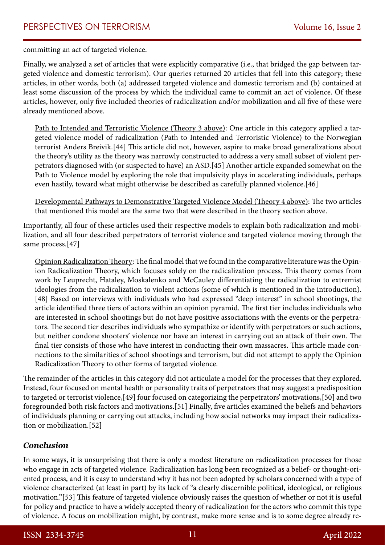committing an act of targeted violence.

Finally, we analyzed a set of articles that were explicitly comparative (i.e., that bridged the gap between targeted violence and domestic terrorism). Our queries returned 20 articles that fell into this category; these articles, in other words, both (a) addressed targeted violence and domestic terrorism and (b) contained at least some discussion of the process by which the individual came to commit an act of violence. Of these articles, however, only five included theories of radicalization and/or mobilization and all five of these were already mentioned above.

Path to Intended and Terroristic Violence (Theory 3 above): One article in this category applied a targeted violence model of radicalization (Path to Intended and Terroristic Violence) to the Norwegian terrorist Anders Breivik.[44] This article did not, however, aspire to make broad generalizations about the theory's utility as the theory was narrowly constructed to address a very small subset of violent perpetrators diagnosed with (or suspected to have) an ASD.[45] Another article expanded somewhat on the Path to Violence model by exploring the role that impulsivity plays in accelerating individuals, perhaps even hastily, toward what might otherwise be described as carefully planned violence.[46]

Developmental Pathways to Demonstrative Targeted Violence Model (Theory 4 above): The two articles that mentioned this model are the same two that were described in the theory section above.

Importantly, all four of these articles used their respective models to explain both radicalization and mobilization, and all four described perpetrators of terrorist violence and targeted violence moving through the same process.[47]

Opinion Radicalization Theory: The final model that we found in the comparative literature was the Opinion Radicalization Theory, which focuses solely on the radicalization process. This theory comes from work by Leuprecht, Hataley, Moskalenko and McCauley differentiating the radicalization to extremist ideologies from the radicalization to violent actions (some of which is mentioned in the introduction). [48] Based on interviews with individuals who had expressed "deep interest" in school shootings, the article identified three tiers of actors within an opinion pyramid. The first tier includes individuals who are interested in school shootings but do not have positive associations with the events or the perpetrators. The second tier describes individuals who sympathize or identify with perpetrators or such actions, but neither condone shooters' violence nor have an interest in carrying out an attack of their own. The final tier consists of those who have interest in conducting their own massacres. This article made connections to the similarities of school shootings and terrorism, but did not attempt to apply the Opinion Radicalization Theory to other forms of targeted violence.

The remainder of the articles in this category did not articulate a model for the processes that they explored. Instead, four focused on mental health or personality traits of perpetrators that may suggest a predisposition to targeted or terrorist violence,[49] four focused on categorizing the perpetrators' motivations,[50] and two foregrounded both risk factors and motivations.[51] Finally, five articles examined the beliefs and behaviors of individuals planning or carrying out attacks, including how social networks may impact their radicalization or mobilization.[52]

## *Conclusion*

In some ways, it is unsurprising that there is only a modest literature on radicalization processes for those who engage in acts of targeted violence. Radicalization has long been recognized as a belief- or thought-oriented process, and it is easy to understand why it has not been adopted by scholars concerned with a type of violence characterized (at least in part) by its lack of "a clearly discernible political, ideological, or religious motivation."[53] This feature of targeted violence obviously raises the question of whether or not it is useful for policy and practice to have a widely accepted theory of radicalization for the actors who commit this type of violence. A focus on mobilization might, by contrast, make more sense and is to some degree already re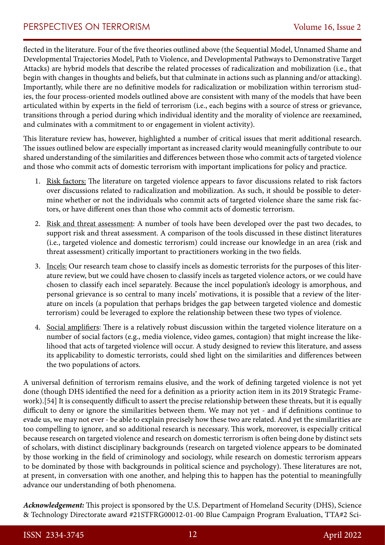flected in the literature. Four of the five theories outlined above (the Sequential Model, Unnamed Shame and Developmental Trajectories Model, Path to Violence, and Developmental Pathways to Demonstrative Target Attacks) are hybrid models that describe the related processes of radicalization and mobilization (i.e., that begin with changes in thoughts and beliefs, but that culminate in actions such as planning and/or attacking). Importantly, while there are no definitive models for radicalization or mobilization within terrorism studies, the four process-oriented models outlined above are consistent with many of the models that have been articulated within by experts in the field of terrorism (i.e., each begins with a source of stress or grievance, transitions through a period during which individual identity and the morality of violence are reexamined, and culminates with a commitment to or engagement in violent activity).

This literature review has, however, highlighted a number of critical issues that merit additional research. The issues outlined below are especially important as increased clarity would meaningfully contribute to our shared understanding of the similarities and differences between those who commit acts of targeted violence and those who commit acts of domestic terrorism with important implications for policy and practice.

- 1. Risk factors: The literature on targeted violence appears to favor discussions related to risk factors over discussions related to radicalization and mobilization. As such, it should be possible to determine whether or not the individuals who commit acts of targeted violence share the same risk factors, or have different ones than those who commit acts of domestic terrorism.
- 2. Risk and threat assessment: A number of tools have been developed over the past two decades, to support risk and threat assessment. A comparison of the tools discussed in these distinct literatures (i.e., targeted violence and domestic terrorism) could increase our knowledge in an area (risk and threat assessment) critically important to practitioners working in the two fields.
- 3. Incels: Our research team chose to classify incels as domestic terrorists for the purposes of this literature review, but we could have chosen to classify incels as targeted violence actors, or we could have chosen to classify each incel separately. Because the incel population's ideology is amorphous, and personal grievance is so central to many incels' motivations, it is possible that a review of the literature on incels (a population that perhaps bridges the gap between targeted violence and domestic terrorism) could be leveraged to explore the relationship between these two types of violence.
- 4. Social amplifiers: There is a relatively robust discussion within the targeted violence literature on a number of social factors (e.g., media violence, video games, contagion) that might increase the likelihood that acts of targeted violence will occur. A study designed to review this literature, and assess its applicability to domestic terrorists, could shed light on the similarities and differences between the two populations of actors.

A universal definition of terrorism remains elusive, and the work of defining targeted violence is not yet done (though DHS identified the need for a definition as a priority action item in its 2019 Strategic Framework).[54] It is consequently difficult to assert the precise relationship between these threats, but it is equally difficult to deny or ignore the similarities between them. We may not yet - and if definitions continue to evade us, we may not ever - be able to explain precisely how these two are related. And yet the similarities are too compelling to ignore, and so additional research is necessary. This work, moreover, is especially critical because research on targeted violence and research on domestic terrorism is often being done by distinct sets of scholars, with distinct disciplinary backgrounds (research on targeted violence appears to be dominated by those working in the field of criminology and sociology, while research on domestic terrorism appears to be dominated by those with backgrounds in political science and psychology). These literatures are not, at present, in conversation with one another, and helping this to happen has the potential to meaningfully advance our understanding of both phenomena.

*Acknowledgement:* This project is sponsored by the U.S. Department of Homeland Security (DHS), Science & Technology Directorate award #21STFRG00012-01-00 Blue Campaign Program Evaluation, TTA#2 Sci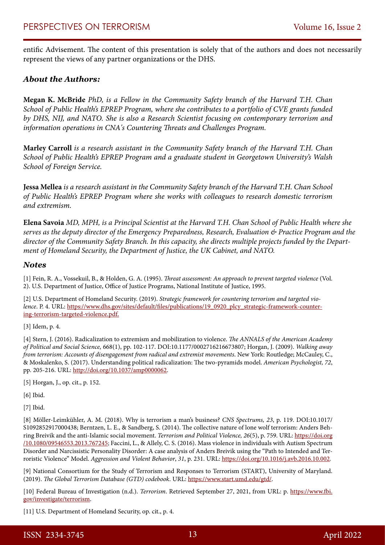entific Advisement. The content of this presentation is solely that of the authors and does not necessarily represent the views of any partner organizations or the DHS.

#### *About the Authors:*

**Megan K. McBride** *PhD, is a Fellow in the Community Safety branch of the Harvard T.H. Chan School of Public Health's EPREP Program, where she contributes to a portfolio of CVE grants funded by DHS, NIJ, and NATO. She is also a Research Scientist focusing on contemporary terrorism and information operations in CNA's Countering Threats and Challenges Program.* 

**Marley Carroll** *is a research assistant in the Community Safety branch of the Harvard T.H. Chan School of Public Health's EPREP Program and a graduate student in Georgetown University's Walsh School of Foreign Service.*

**Jessa Mellea** *is a research assistant in the Community Safety branch of the Harvard T.H. Chan School of Public Health's EPREP Program where she works with colleagues to research domestic terrorism and extremism.*

**Elena Savoia** *MD, MPH, is a Principal Scientist at the Harvard T.H. Chan School of Public Health where she serves as the deputy director of the Emergency Preparedness, Research, Evaluation & Practice Program and the director of the Community Safety Branch. In this capacity, she directs multiple projects funded by the Department of Homeland Security, the Department of Justice, the UK Cabinet, and NATO.* 

#### *Notes*

[1] Fein, R. A., Vossekuil, B., & Holden, G. A. (1995). *Threat assessment: An approach to prevent targeted violence* (Vol. 2). U.S. Department of Justice, Office of Justice Programs, National Institute of Justice, 1995.

[2] U.S. Department of Homeland Security. (2019). *Strategic framework for countering terrorism and targeted violence*. P. 4. URL: [https://www.dhs.gov/sites/default/files/publications/19\\_0920\\_plcy\\_strategic-framework-counter](https://www.dhs.gov/sites/default/files/publications/19_0920_plcy_strategic-framework-countering-terrorism-targeted-violence.pdf)[ing-terrorism-targeted-violence.pdf.](https://www.dhs.gov/sites/default/files/publications/19_0920_plcy_strategic-framework-countering-terrorism-targeted-violence.pdf)

[3] Idem, p. 4.

[4] Stern, J. (2016). Radicalization to extremism and mobilization to violence. *The ANNALS of the American Academy of Political and Social Science,* 668(1), pp. 102-117. DOI:10.1177/0002716216673807; Horgan, J. (2009). *Walking away from terrorism: Accounts of disengagement from radical and extremist movements*. New York: Routledge; McCauley, C., & Moskalenko, S. (2017). Understanding political radicalization: The two-pyramids model. *American Psychologist, 72*, pp. 205-216. URL: [http://doi.org/10.1037/amp0000062.](http://doi.org/10.1037/amp0000062)

[5] Horgan, J., op. cit., p. 152.

[6] Ibid.

[7] Ibid.

[8] Möller-Leimkühler, A. M. (2018). Why is terrorism a man's business? *CNS Spectrums, 23*, p. 119. DOI:10.1017/ S1092852917000438; Berntzen, L. E., & Sandberg, S. (2014). The collective nature of lone wolf terrorism: Anders Behring Breivik and the anti-Islamic social movement. *Terrorism and Political Violence, 26*(5), p. 759. URL: [https://doi.org](https://doi.org/10.1080/09546553.2013.767245) [/10.1080/09546553.2013.767245;](https://doi.org/10.1080/09546553.2013.767245) Faccini, L., & Allely, C. S. (2016). Mass violence in individuals with Autism Spectrum Disorder and Narcissistic Personality Disorder: A case analysis of Anders Breivik using the "Path to Intended and Terroristic Violence" Model. *Aggression and Violent Behavior*, *31*, p. 231. URL:<https://doi.org/10.1016/j.avb.2016.10.002>.

[9] National Consortium for the Study of Terrorism and Responses to Terrorism (START), University of Maryland. (2019). *The Global Terrorism Database (GTD) codebook*. URL: <https://www.start.umd.edu/gtd/>.

[10] Federal Bureau of Investigation (n.d.). *Terrorism*. Retrieved September 27, 2021, from URL: p. [https://www.fbi.](https://www.fbi.gov/investigate/terrorism) [gov/investigate/terrorism](https://www.fbi.gov/investigate/terrorism).

[11] U.S. Department of Homeland Security, op. cit., p. 4.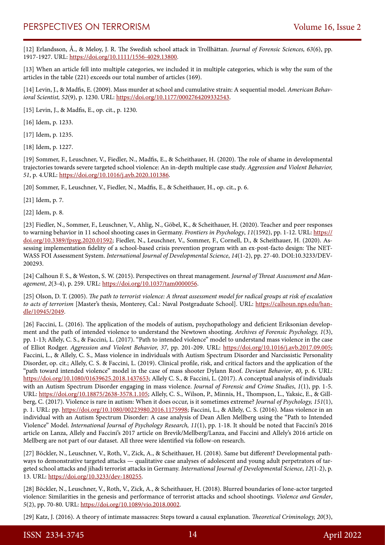[12] Erlandsson, Å., & Meloy, J. R. The Swedish school attack in Trollhättan. *Journal of Forensic Sciences, 63*(6), pp. 1917-1927. URL: [https://doi.org/10.1111/1556-4029.13800.](https://doi.org/10.1111/1556-4029.13800)

[13] When an article fell into multiple categories, we included it in multiple categories, which is why the sum of the articles in the table (221) exceeds our total number of articles (169).

[14] Levin, J., & Madfis, E. (2009). Mass murder at school and cumulative strain: A sequential model. *American Behavioral Scientist, 52*(9), p. 1230. URL: [https://doi.org/10.1177/0002764209332543.](https://doi.org/10.1177/0002764209332543)

[15] Levin, J., & Madfis, E., op. cit., p. 1230.

[16] Idem, p. 1233.

[17] Idem, p. 1235.

[18] Idem, p. 1227.

[19] Sommer, F., Leuschner, V., Fiedler, N., Madfis, E., & Scheithauer, H. (2020). The role of shame in developmental trajectories towards severe targeted school violence: An in-depth multiple case study. *Aggression and Violent Behavior, 51*, p. 4.URL: [https://doi.org/10.1016/j.avb.2020.101386.](https://doi.org/10.1016/j.avb.2020.101386)

[20] Sommer, F., Leuschner, V., Fiedler, N., Madfis, E., & Scheithauer, H., op. cit., p. 6.

[21] Idem, p. 7.

[22] Idem, p. 8.

[23] Fiedler, N., Sommer, F., Leuschner, V., Ahlig, N., Göbel, K., & Scheithauer, H. (2020). Teacher and peer responses to warning behavior in 11 school shooting cases in Germany. *Frontiers in Psychology*, *11*(1592), pp. 1-12. URL: [https://](https://doi.org/10.3389/fpsyg.2020.01592) [doi.org/10.3389/fpsyg.2020.01592;](https://doi.org/10.3389/fpsyg.2020.01592) Fiedler, N., Leuschner, V., Sommer, F., Cornell, D., & Scheithauer, H. (2020). Assessing implementation fidelity of a school-based crisis prevention program with an ex-post-facto design: The NET-WASS FOI Assessment System. *International Journal of Developmental Science*, *14*(1-2), pp. 27-40. DOI:10.3233/DEV-200293.

[24] Calhoun F. S., & Weston, S. W. (2015). Perspectives on threat management. *Journal of Threat Assessment and Management*, *2*(3-4), p. 259. URL: [https://doi.org/10.1037/tam0000056.](https://doi.org/10.1037/tam0000056)

[25] Olson, D. T. (2005). *The path to terrorist violence: A threat assessment model for radical groups at risk of escalation to acts of terrorism* [Master's thesis, Monterey, Cal.: Naval Postgraduate School]. URL: [https://calhoun.nps.edu/han](https://calhoun.nps.edu/handle/10945/2049)[dle/10945/2049.](https://calhoun.nps.edu/handle/10945/2049)

[26] Faccini, L. (2016). The application of the models of autism, psychopathology and deficient Eriksonian development and the path of intended violence to understand the Newtown shooting. *Archives of Forensic Psychology, 1*(3), pp. 1-13; Allely, C. S., & Faccini, L. (2017). "Path to intended violence" model to understand mass violence in the case of Elliot Rodger. *Aggression and Violent Behavior, 37*, pp. 201-209. URL: [https://doi.org/10.1016/j.avb.2017.09.005;](https://doi.org/10.1016/j.avb.2017.09.005) Faccini, L., & Allely, C. S., Mass violence in individuals with Autism Spectrum Disorder and Narcissistic Personality Disorder, op. cit.; Allely, C. S. & Faccini, L. (2019). Clinical profile, risk, and critical factors and the application of the "path toward intended violence" model in the case of mass shooter Dylann Roof. *Deviant Behavior*, *40*, p. 6. URL: <https://doi.org/10.1080/01639625.2018.1437653>; Allely C. S., & Faccini, L. (2017). A conceptual analysis of individuals with an Autism Spectrum Disorder engaging in mass violence. *Journal of Forensic and Crime Studies*, *1*(1), pp. 1-5. URL: [https://doi.org/10.18875/2638-3578.1.105;](https://doi.org/10.18875/2638-3578.1.105) Allely, C. S., Wilson, P., Minnis, H., Thompson, L., Yaksic, E., & Gillberg, C. (2017). Violence is rare in autism: When it does occur, is it sometimes extreme? *Journal of Psychology, 151*(1), p. 1. URL: pp. [https://doi.org/10.1080/00223980.2016.1175998;](https://doi.org/10.1080/00223980.2016.1175998) Faccini, L., & Allely, C. S. (2016). Mass violence in an individual with an Autism Spectrum Disorder: A case analysis of Dean Allen Mellberg using the "Path to Intended Violence" Model. *International Journal of Psychology Research, 11*(1), pp. 1-18. It should be noted that Faccini's 2016 article on Lanza, Allely and Faccini's 2017 article on Brevik/Mellberg/Lanza, and Faccini and Allely's 2016 article on Mellberg are not part of our dataset. All three were identified via follow-on research.

[27] Böckler, N., Leuschner, V., Roth, V., Zick, A., & Scheithauer, H. (2018). Same but different? Developmental pathways to demonstrative targeted attacks — qualitative case analyses of adolescent and young adult perpetrators of targeted school attacks and jihadi terrorist attacks in Germany. *International Journal of Developmental Science*, *12*(1-2), p. 13. URL: [https://doi.org/10.3233/dev-180255.](https://doi.org/10.3233/dev-180255)

[28] Böckler, N., Leuschner, V., Roth, V., Zick, A., & Scheithauer, H. (2018). Blurred boundaries of lone-actor targeted violence: Similarities in the genesis and performance of terrorist attacks and school shootings. *Violence and Gender*, *5*(2), pp. 70-80. URL: [https://doi.org/10.1089/vio.2018.0002.](https://psycnet.apa.org/doi/10.1089/vio.2018.0002)

[29] Katz, J. (2016). A theory of intimate massacres: Steps toward a causal explanation. *Theoretical Criminology, 20*(3),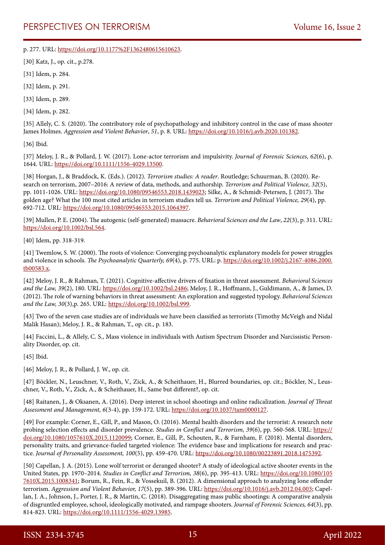p. 277. URL: [https://doi.org/10.1177%2F1362480615610623.](https://doi.org/10.1177%2F1362480615610623)

[30] Katz, J., op. cit., p.278.

[31] Idem, p. 284.

[32] Idem, p. 291.

[33] Idem, p. 289.

[34] Idem, p. 282.

[35] Allely, C. S. (2020). The contributory role of psychopathology and inhibitory control in the case of mass shooter James Holmes. *Aggression and Violent Behavior*, *51*, p. 8. URL: [https://doi.org/10.1016/j.avb.2020.101382.](https://doi.org/10.1016/j.avb.2020.101382)

[36] Ibid.

[37] Meloy, J. R., & Pollard, J. W. (2017). Lone-actor terrorism and impulsivity. *Journal of Forensic Sciences, 62*(6), p. 1644. URL: [https://doi.org/10.1111/1556-4029.13500.](https://doi.org/10.1111/1556-4029.13500)

[38] Horgan, J., & Braddock, K. (Eds.). (2012). *Terrorism studies: A reader*. Routledge; Schuurman, B. (2020). Research on terrorism, 2007–2016: A review of data, methods, and authorship. *Terrorism and Political Violence, 32*(5), pp. 1011-1026. URL: [https://doi.org/10.1080/09546553.2018.1439023;](https://doi.org/10.1080/09546553.2018.1439023) Silke, A., & Schmidt-Petersen, J. (2017). The golden age? What the 100 most cited articles in terrorism studies tell us. *Terrorism and Political Violence, 29*(4), pp. 692-712. URL: [https://doi.org/10.1080/09546553.2015.1064397.](https://doi.org/10.1080/09546553.2015.1064397)

[39] Mullen, P. E. (2004). The autogenic (self-generated) massacre. *Behavioral Sciences and the Law*, *22*(3), p. 311. URL: <https://doi.org/10.1002/bsl.564>.

[40] Idem, pp. 318-319.

[41] Twemlow, S. W. (2000). The roots of violence: Converging psychoanalytic explanatory models for power struggles and violence in schools. *The Psychoanalytic Quarterly, 69*(4), p. 775. URL: p. [https://doi.org/10.1002/j.2167-4086.2000.](https://doi.org/10.1002/j.2167-4086.2000.tb00583.x) [tb00583.x.](https://doi.org/10.1002/j.2167-4086.2000.tb00583.x)

[42] Meloy, J. R., & Rahman, T. (2021). Cognitive-affective drivers of fixation in threat assessment. *Behavioral Sciences and the Law, 39*(2), 180. URL:<https://doi.org/10.1002/bsl.2486>; Meloy, J. R., Hoffmann, J., Guldimann, A., & James, D. (2012). The role of warning behaviors in threat assessment: An exploration and suggested typology. *Behavioral Sciences and the Law, 30*(3),p. 265. URL: [https://doi.org/10.1002/bsl.999.](https://doi.org/10.1002/bsl.999)

[43] Two of the seven case studies are of individuals we have been classified as terrorists (Timothy McVeigh and Nidal Malik Hasan); Meloy, J. R., & Rahman, T., op. cit., p. 183.

[44] Faccini, L., & Allely, C. S., Mass violence in individuals with Autism Spectrum Disorder and Narcissistic Personality Disorder, op. cit.

[45] Ibid.

[46] Meloy, J. R., & Pollard, J. W., op. cit.

[47] Böckler, N., Leuschner, V., Roth, V., Zick, A., & Scheithauer, H., Blurred boundaries, op. cit.; Böckler, N., Leuschner, V., Roth, V., Zick, A., & Scheithauer, H., Same but different?, op. cit.

[48] Raitanen, J., & Oksanen, A. (2016). Deep interest in school shootings and online radicalization. *Journal of Threat Assessment and Management, 6*(3-4), pp. 159-172. URL: <https://doi.org/10.1037/tam0000127>.

[49] For example: Corner, E., Gill, P., and Mason, O. (2016). Mental health disorders and the terrorist: A research note probing selection effects and disorder prevalence. *Studies in Conflict and Terrorism, 39*(6), pp. 560-568. URL: [https://](https://doi.org/10.1080/1057610X.2015.1120099) [doi.org/10.1080/1057610X.2015.1120099](https://doi.org/10.1080/1057610X.2015.1120099); Corner, E., Gill, P., Schouten, R., & Farnham, F. (2018). Mental disorders, personality traits, and grievance-fueled targeted violence: The evidence base and implications for research and practice. *Journal of Personality Assessment, 100*(5), pp. 459-470. URL:<https://doi.org/10.1080/00223891.2018.1475392>.

[50] Capellan, J. A. (2015). Lone wolf terrorist or deranged shooter? A study of ideological active shooter events in the United States, pp. 1970–2014. *Studies in Conflict and Terrorism, 38*(6), pp. 395-413. URL: [https://doi.org/10.1080/105](https://doi.org/10.1080/1057610X.2015.1008341) [7610X.2015.1008341](https://doi.org/10.1080/1057610X.2015.1008341); Borum, R., Fein, R., & Vossekuil, B. (2012). A dimensional approach to analyzing lone offender terrorism. *Aggression and Violent Behavior, 17*(5), pp. 389-396. URL: [https://doi.org/10.1016/j.avb.2012.04.003;](https://doi.org/10.1016/j.avb.2012.04.003) Capellan, J. A., Johnson, J., Porter, J. R., & Martin, C. (2018). Disaggregating mass public shootings: A comparative analysis of disgruntled employee, school, ideologically motivated, and rampage shooters. *Journal of Forensic Sciences, 64*(3), pp. 814-823. URL: [https://doi.org/10.1111/1556-4029.13985.](https://doi.org/10.1111/1556-4029.13985)